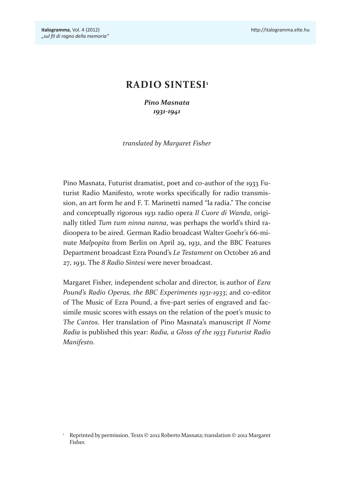# **RADIO SINTESI1**

*Pino Masnata 1931-1941*

*translated by Margaret Fisher*

Pino Masnata, Futurist dramatist, poet and co-author of the 1933 Futurist Radio Manifesto, wrote works specifcally for radio transmission, an art form he and F. T. Marinetti named "la radia." The concise and conceptually rigorous 1931 radio opera *Il Cuore di Wanda*, originally titled *Tum tum ninna nanna*, was perhaps the world's third radioopera to be aired. German Radio broadcast Walter Goehr's 66-minute *Malpopita* from Berlin on April 29, 1931, and the BBC Features Department broadcast Ezra Pound's *Le Testament* on October 26 and 27, 1931. The *8 Radio Sintesi* were never broadcast.

Margaret Fisher, independent scholar and director, is author of *Ezra Pound's Radio Operas, the BBC Experiments 1931-1933*; and co-editor of The Music of Ezra Pound, a fve-part series of engraved and facsimile music scores with essays on the relation of the poet's music to *The Cantos*. Her translation of Pino Masnata's manuscript *Il Nome Radia* is published this year: *Radia, a Gloss of the 1933 Futurist Radio Manifesto*.

<sup>&</sup>lt;sup>1</sup> Reprinted by permission. Texts © 2012 Roberto Masnata; translation © 2012 Margaret Fisher.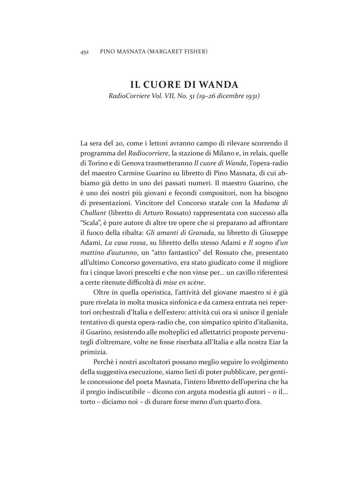# **IL CUORE DI WANDA**

*RadioCorriere Vol. VII, No. 51 (19–26 dicembre 1931)*

La sera del 20, come i lettori avranno campo di rilevare scorrendo il programma del *Radiocorriere*, la stazione di Milano e, in relais, quelle di Torino e di Genova trasmetteranno *Il cuore di Wanda*, l'opera-radio del maestro Carmine Guarino su libretto di Pino Masnata, di cui abbiamo già detto in uno dei passati numeri. Il maestro Guarino, che è uno dei nostri più giovani e fecondi compositori, non ha bisogno di presentazioni. Vincitore del Concorso statale con la *Madama di Challant* (libretto di Arturo Rossato) rappresentata con successo alla "Scala", è pure autore di altre tre opere che si preparano ad afrontare il fuoco della ribalta: *Gli amanti di Granada*, su libretto di Giuseppe Adami, *La casa rossa*, su libretto dello stesso Adami e *Il sogno d'un mattino d'autunno*, un "atto fantastico" del Rossato che, presentato all'ultimo Concorso governativo, era stato giudicato come il migliore fra i cinque lavori prescelti e che non vinse per... un cavillo riferentesi a certe ritenute difcoltà di *mise en scène*.

Oltre in quella operistica, l'attività del giovane maestro si è già pure rivelata in molta musica sinfonica e da camera entrata nei repertori orchestrali d'Italia e dell'estero: attività cui ora si unisce il geniale tentativo di questa opera-radio che, con simpatico spirito d'italianita, il Guarino, resistendo alle molteplici ed allettatrici proposte pervenutegli d'oltremare, volte ne fosse riserbata all'Italia e alla nostra Eiar la primizia.

Perchè i nostri ascoltatori possano meglio seguire lo svolgimento della suggestiva esecuzione, siamo lieti di poter pubblicare, per gentile concessione del poeta Masnata, l'intero libretto dell'operina che ha il pregio indiscutibile – dicono con arguta modestia gli autori – o il... torto – diciamo noi – di durare forse meno d'un quarto d'ora.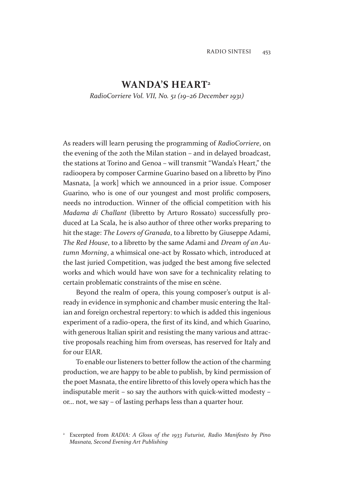# WANDA'S HEART<sup>2</sup>

*RadioCorriere Vol. VII, No. 51 (19–26 December 1931)*

As readers will learn perusing the programming of *RadioCorriere*, on the evening of the 20th the Milan station – and in delayed broadcast, the stations at Torino and Genoa – will transmit "Wanda's Heart," the radioopera by composer Carmine Guarino based on a libretto by Pino Masnata, [a work] which we announced in a prior issue. Composer Guarino, who is one of our youngest and most prolifc composers, needs no introduction. Winner of the official competition with his *Madama di Challant* (libretto by Arturo Rossato) successfully produced at La Scala, he is also author of three other works preparing to hit the stage: *The Lovers of Granada*, to a libretto by Giuseppe Adami, *The Red House*, to a libretto by the same Adami and *Dream of an Autumn Morning*, a whimsical one-act by Rossato which, introduced at the last juried Competition, was judged the best among fve selected works and which would have won save for a technicality relating to certain problematic constraints of the mise en scène.

Beyond the realm of opera, this young composer's output is already in evidence in symphonic and chamber music entering the Italian and foreign orchestral repertory: to which is added this ingenious experiment of a radio-opera, the frst of its kind, and which Guarino, with generous Italian spirit and resisting the many various and attractive proposals reaching him from overseas, has reserved for Italy and for our EIAR.

To enable our listeners to better follow the action of the charming production, we are happy to be able to publish, by kind permission of the poet Masnata, the entire libretto of this lovely opera which has the indisputable merit – so say the authors with quick-witted modesty – or… not, we say – of lasting perhaps less than a quarter hour.

<sup>&</sup>lt;sup>2</sup> Excerpted from *RADIA: A Gloss of the 1933 Futurist, Radio Manifesto by Pino Masnata, Second Evening Art Publishing*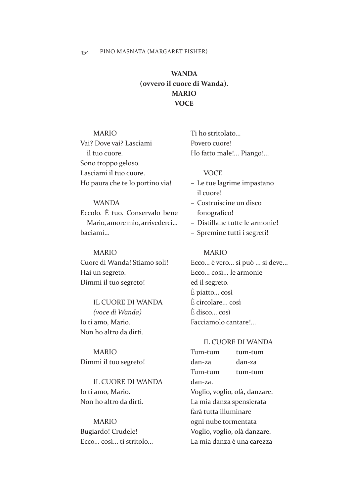# **WANDA (ovvero il cuore di Wanda). MARIO VOCE**

# MARIO

Vai? Dove vai? Lasciami il tuo cuore. Sono troppo geloso. Lasciami il tuo cuore. Ho paura che te lo portino via!

# WANDA

Eccolo. È tuo. Conservalo bene Mario, amore mio, arrivederci... baciami...

### MARIO

Cuore di Wanda! Stiamo soli! Hai un segreto. Dimmi il tuo segreto!

IL CUORE DI WANDA *(voce di Wanda)* Io ti amo, Mario. Non ho altro da dirti.

MARIO Dimmi il tuo segreto!

IL CUORE DI WANDA Io ti amo, Mario. Non ho altro da dirti.

## MARIO

Bugiardo! Crudele! Ecco... così... ti stritolo... Ti ho stritolato... Povero cuore! Ho fatto male!... Piango!...

#### **VOCE**

- Le tue lagrime impastano il cuore!
- Costruiscine un disco fonografico!
- Distillane tutte le armonie!
- Spremine tutti i segreti!

#### MARIO

Ecco... è vero... si può ... si deve... Ecco... così... le armonie ed il segreto. È piatto... così È circolare... così È disco... così Facciamolo cantare!...

## IL CUORE DI WANDA

Tum-tum tum-tum dan-za dan-za Tum-tum tum-tum dan-za. Voglio, voglio, olà, danzare. La mia danza spensierata farà tutta illuminare ogni nube tormentata Voglio, voglio, olà danzare. La mia danza è una carezza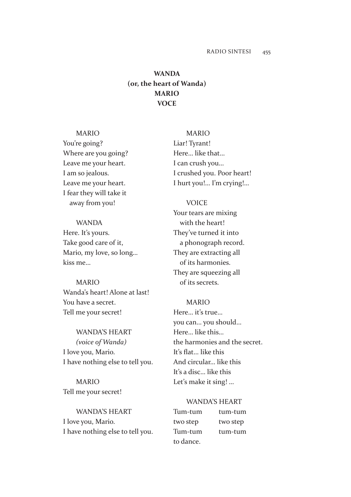# **WANDA (or, the heart of Wanda) MARIO VOCE**

# MARIO

You're going? Where are you going? Leave me your heart. I am so jealous. Leave me your heart. I fear they will take it away from you!

## WANDA

Here. It's yours. Take good care of it, Mario, my love, so long… kiss me…

#### MARIO

Wanda's heart! Alone at last! You have a secret. Tell me your secret!

WANDA'S HEART *(voice of Wanda)* I love you, Mario. I have nothing else to tell you.

MARIO Tell me your secret!

WANDA'S HEART I love you, Mario. I have nothing else to tell you.

MARIO Liar! Tyrant! Here… like that… I can crush you… I crushed you. Poor heart! I hurt you!… I'm crying!…

#### VOICE

Your tears are mixing with the heart! They've turned it into a phonograph record. They are extracting all of its harmonies. They are squeezing all of its secrets.

# MARIO

Here… it's true… you can… you should… Here… like this… the harmonies and the secret. It's flat... like this And circular… like this It's a disc… like this Let's make it sing! …

#### WANDA'S HEART

| Tum-tum   | tum-tum  |
|-----------|----------|
| two step  | two step |
| Tum-tum   | tum-tum  |
| to dance. |          |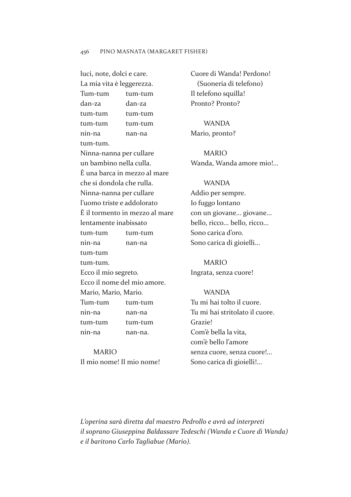luci, note, dolci e care. La mia vita è leggerezza. Tum-tum tum-tum dan-za dan-za tum-tum tum-tum tum-tum tum-tum nin-na nan-na tum-tum. Ninna-nanna per cullare un bambino nella culla. È una barca in mezzo al mare che si dondola che rulla. Ninna-nanna per cullare l'uomo triste e addolorato È il tormento in mezzo al mare lentamente inabissato tum-tum tum-tum nin-na nan-na tum-tum tum-tum. Ecco il mio segreto. Ecco il nome del mio amore. Mario, Mario, Mario. Tum-tum tum-tum nin-na nan-na tum-tum tum-tum nin-na nan-na.

MARIO Il mio nome! Il mio nome! Cuore di Wanda! Perdono! (Suoneria di telefono) Il telefono squilla! Pronto? Pronto?

WANDA Mario, pronto?

MARIO Wanda, Wanda amore mio!...

#### WANDA

Addio per sempre. Io fuggo lontano con un giovane... giovane... bello, ricco... bello, ricco... Sono carica d'oro. Sono carica di gioielli...

MARIO Ingrata, senza cuore!

#### WANDA

Tu mi hai tolto il cuore. Tu mi hai stritolato il cuore. Grazie! Com'è bella la vita, com'è bello l'amore senza cuore, senza cuore!... Sono carica di gioielli!...

*L'operina sarà diretta dal maestro Pedrollo e avrà ad interpreti il soprano Giuseppina Baldassare Tedeschi (Wanda e Cuore di Wanda) e il baritono Carlo Tagliabue (Mario).*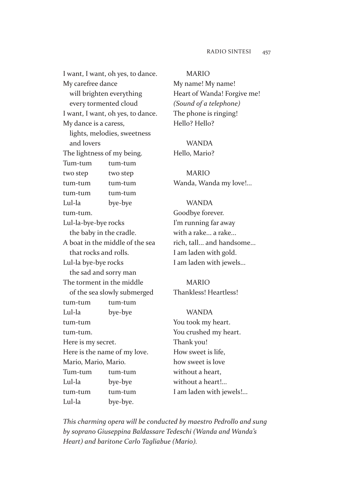### RADIO SINTESI 457

I want, I want, oh yes, to dance. My carefree dance will brighten everything every tormented cloud I want, I want, oh yes, to dance. My dance is a caress, lights, melodies, sweetness and lovers The lightness of my being. Tum-tum tum-tum two step two step tum-tum tum-tum tum-tum tum-tum Lul-la bye-bye tum-tum. Lul-la-bye-bye rocks the baby in the cradle. A boat in the middle of the sea that rocks and rolls. Lul-la bye-bye rocks the sad and sorry man The torment in the middle of the sea slowly submerged tum-tum tum-tum Lul-la bye-bye tum-tum tum-tum. Here is my secret. Here is the name of my love. Mario, Mario, Mario. Tum-tum tum-tum Lul-la bye-bye tum-tum tum-tum Lul-la bye-bye.

#### MARIO

My name! My name! Heart of Wanda! Forgive me! *(Sound of a telephone)* The phone is ringing! Hello? Hello?

# WANDA

Hello, Mario?

MARIO Wanda, Wanda my love!...

#### WANDA

Goodbye forever. I'm running far away with a rake... a rake... rich, tall... and handsome... I am laden with gold. I am laden with jewels...

# MARIO Thankless! Heartless!

WANDA You took my heart. You crushed my heart. Thank you! How sweet is life, how sweet is love without a heart, without a heart!... I am laden with jewels!...

*This charming opera will be conducted by maestro Pedrollo and sung by soprano Giuseppina Baldassare Tedeschi (Wanda and Wanda's Heart) and baritone Carlo Tagliabue (Mario).*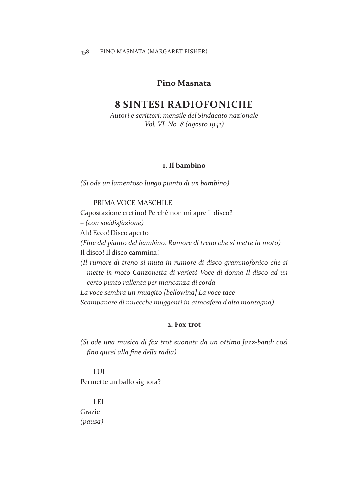# **Pino Masnata**

# **8 SINTESI RADIOFONICHE**

*Autori e scrittori: mensile del Sindacato nazionale Vol. VI, No. 8 (agosto 1941)*

# **1. Il bambino**

*(Si ode un lamentoso lungo pianto di un bambino)*

#### PRIMA VOCE MASCHILE

Capostazione cretino! Perchè non mi apre il disco?

*– (con soddisfazione)*

Ah! Ecco! Disco aperto

*(Fine del pianto del bambino. Rumore di treno che si mette in moto)*

Il disco! Il disco cammina!

*(Il rumore di treno si muta in rumore di disco grammofonico che si mette in moto Canzonetta di varietà Voce di donna Il disco ad un certo punto rallenta per mancanza di corda*

*La voce sembra un muggito [bellowing] La voce tace Scampanare di muccche muggenti in atmosfera d'alta montagna)*

## **2. Fox-trot**

*(Si ode una musica di fox trot suonata da un ottimo Jazz-band; così fno quasi alla fne della radia)*

LUI Permette un ballo signora?

LEI Grazie *(pausa)*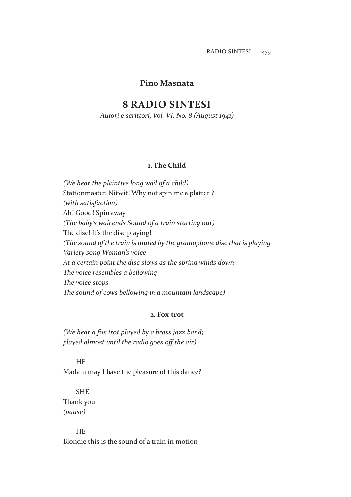# **Pino Masnata**

# **8 RADIO SINTESI**

*Autori e scrittori, Vol. VI, No. 8 (August 1941)*

# **1. The Child**

*(We hear the plaintive long wail of a child)* Stationmaster, Nitwit! Why not spin me a platter ? *(with satisfaction)* Ah! Good! Spin away *(The baby's wail ends Sound of a train starting out)* The disc! It's the disc playing! *(The sound of the train is muted by the gramophone disc that is playing Variety song Woman's voice At a certain point the disc slows as the spring winds down The voice resembles a bellowing The voice stops The sound of cows bellowing in a mountain landscape)*

### **2. Fox-trot**

*(We hear a fox trot played by a brass jazz band; played almost until the radio goes off the air)* 

### HE

Madam may I have the pleasure of this dance?

# **SHE** Thank you *(pause)*

**HE** Blondie this is the sound of a train in motion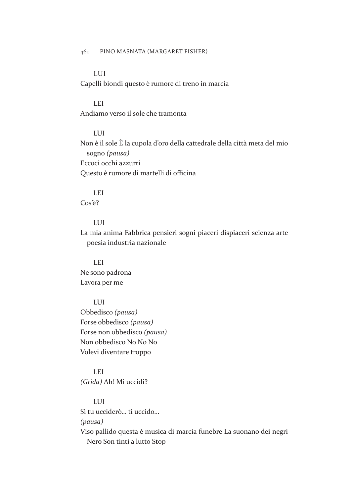# LUI

Capelli biondi questo è rumore di treno in marcia

### LEI

Andiamo verso il sole che tramonta

### LUI

Non è il sole È la cupola d'oro della cattedrale della città meta del mio sogno *(pausa)* Eccoci occhi azzurri Questo è rumore di martelli di officina

# LEI

Cos'è?

# LUI

La mia anima Fabbrica pensieri sogni piaceri dispiaceri scienza arte poesia industria nazionale

## LEI

Ne sono padrona Lavora per me

# LUI

Obbedisco *(pausa)* Forse obbedisco *(pausa)* Forse non obbedisco *(pausa)* Non obbedisco No No No Volevi diventare troppo

# LEI *(Grida)* Ah! Mi uccidi?

# LUI

Sì tu ucciderò… ti uccido…

# *(pausa)*

Viso pallido questa è musica di marcia funebre La suonano dei negri Nero Son tinti a lutto Stop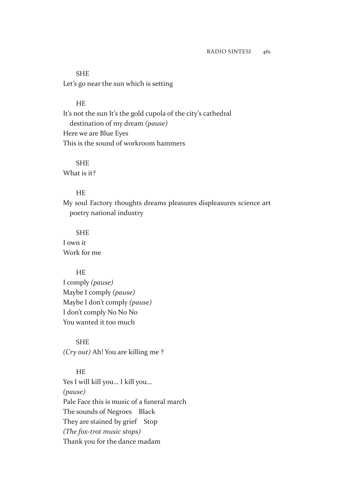SHE Let's go near the sun which is setting

#### HE

It's not the sun It's the gold cupola of the city's cathedral destination of my dream *(pause)* Here we are Blue Eyes This is the sound of workroom hammers

## **SHE**

What is it?

# **HE**

My soul Factory thoughts dreams pleasures displeasures science art poetry national industry

## **SHE**

I own it Work for me

#### HE

I comply *(pause)* Maybe I comply *(pause)* Maybe I don't comply *(pause)* I don't comply No No No You wanted it too much

SHE *(Cry out)* Ah! You are killing me ?

**HE** 

Yes I will kill you… I kill you… *(pause)* Pale Face this is music of a funeral march The sounds of Negroes Black They are stained by grief Stop *(The fox-trot music stops)* Thank you for the dance madam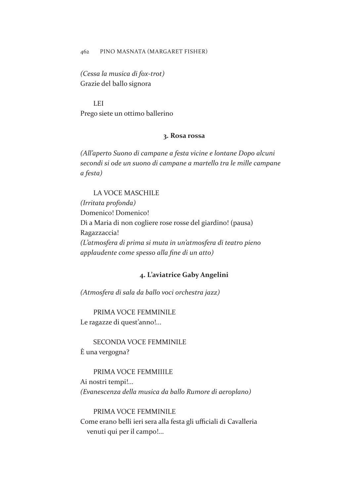#### 462 PINO MASNATA (MARGARET FISHER)

*(Cessa la musica di fox-trot)* Grazie del ballo signora

LEI Prego siete un ottimo ballerino

#### **3. Rosa rossa**

*(All'aperto Suono di campane a festa vicine e lontane Dopo alcuni secondi si ode un suono di campane a martello tra le mille campane a festa)*

# LA VOCE MASCHILE

*(Irritata profonda)* Domenico! Domenico! Dì a Maria di non cogliere rose rosse del giardino! (pausa) Ragazzaccia! *(L'atmosfera di prima si muta in un'atmosfera di teatro pieno applaudente come spesso alla fne di un atto)*

### **4. L'aviatrice Gaby Angelini**

*(Atmosfera di sala da ballo voci orchestra jazz)*

PRIMA VOCE FEMMINILE Le ragazze di quest'anno!...

SECONDA VOCE FEMMINILE È una vergogna?

PRIMA VOCE FEMMIIILE Ai nostri tempi!... *(Evanescenza della musica da ballo Rumore di aeroplano)*

PRIMA VOCE FEMMINILE Come erano belli ieri sera alla festa gli ufficiali di Cavalleria venuti qui per il campo!...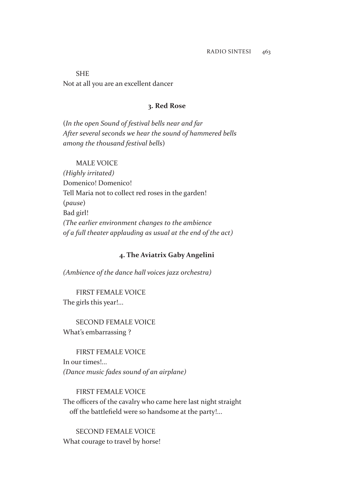SHE Not at all you are an excellent dancer

# **3. Red Rose**

(*In the open Sound of festival bells near and far After several seconds we hear the sound of hammered bells among the thousand festival bells*)

# MALE VOICE

*(Highly irritated)* Domenico! Domenico! Tell Maria not to collect red roses in the garden! (*pause*) Bad girl! *(The earlier environment changes to the ambience of a full theater applauding as usual at the end of the act)*

### **4. The Aviatrix Gaby Angelini**

*(Ambience of the dance hall voices jazz orchestra)*

FIRST FEMALE VOICE The girls this year!...

SECOND FEMALE VOICE What's embarrassing ?

FIRST FEMALE VOICE In our times!... *(Dance music fades sound of an airplane)*

FIRST FEMALE VOICE The officers of the cavalry who came here last night straight off the battlefield were so handsome at the party!...

SECOND FEMALE VOICE What courage to travel by horse!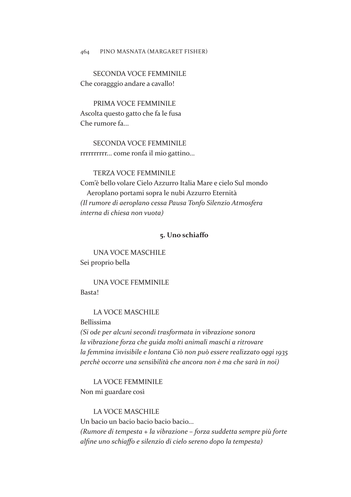SECONDA VOCE FEMMINILE Che coragggio andare a cavallo!

PRIMA VOCE FEMMINILE Ascolta questo gatto che fa le fusa Che rumore fa...

SECONDA VOCE FEMMINILE rrrrrrrrrr... come ronfa il mio gattino...

### TERZA VOCE FEMMINILE

Com'è bello volare Cielo Azzurro Italia Mare e cielo Sul mondo Aeroplano portami sopra le nubi Azzurro Eternità *(Il rumore di aeroplano cessa Pausa Tonfo Silenzio Atmosfera interna di chiesa non vuota)*

### **5. Uno schiafo**

UNA VOCE MASCHILE Sei proprio bella

UNA VOCE FEMMINILE Basta!

LA VOCE MASCHILE

Bellissima

*(Si ode per alcuni secondi trasformata in vibrazione sonora la vibrazione forza che guida molti animali maschi a ritrovare la femmina invisibile e lontana Ciò non può essere realizzato oggi 1935 perchè occorre una sensibilità che ancora non è ma che sarà in noi)*

LA VOCE FEMMINILE Non mi guardare così

LA VOCE MASCHILE

Un bacio un bacio bacio bacio bacio... *(Rumore di tempesta + la vibrazione – forza suddetta sempre più forte alfne uno schiafo e silenzio di cielo sereno dopo la tempesta)*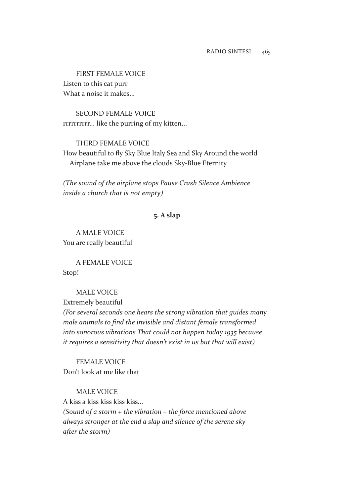FIRST FEMALE VOICE Listen to this cat purr What a noise it makes...

SECOND FEMALE VOICE rrrrrrrrrr... like the purring of my kitten...

THIRD FEMALE VOICE

How beautiful to fy Sky Blue Italy Sea and Sky Around the world Airplane take me above the clouds Sky-Blue Eternity

*(The sound of the airplane stops Pause Crash Silence Ambience inside a church that is not empty)*

## **5. A slap**

A MALE VOICE You are really beautiful

A FEMALE VOICE Stop!

MALE VOICE

Extremely beautiful

*(For several seconds one hears the strong vibration that guides many male animals to fnd the invisible and distant female transformed into sonorous vibrations That could not happen today 1935 because it requires a sensitivity that doesn't exist in us but that will exist)*

FEMALE VOICE Don't look at me like that

MALE VOICE

A kiss a kiss kiss kiss kiss... *(Sound of a storm + the vibration – the force mentioned above always stronger at the end a slap and silence of the serene sky after the storm)*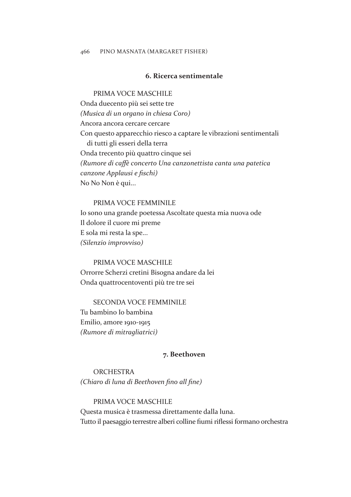#### 466 PINO MASNATA (MARGARET FISHER)

### **6. Ricerca sentimentale**

#### PRIMA VOCE MASCHILE

Onda duecento più sei sette tre *(Musica di un organo in chiesa Coro)* Ancora ancora cercare cercare Con questo apparecchio riesco a captare le vibrazioni sentimentali di tutti gli esseri della terra Onda trecento più quattro cinque sei *(Rumore di cafè concerto Una canzonettista canta una patetica canzone Applausi e fschi)* No No Non è qui...

#### PRIMA VOCE FEMMINILE

Io sono una grande poetessa Ascoltate questa mia nuova ode Il dolore il cuore mi preme E sola mi resta la spe... *(Silenzio improvviso)*

### PRIMA VOCE MASCHILE

Orrorre Scherzi cretini Bisogna andare da lei Onda quattrocentoventi più tre tre sei

# SECONDA VOCE FEMMINILE

Tu bambino Io bambina Emilio, amore 1910-1915 *(Rumore di mitragliatrici)*

## **7. Beethoven**

**ORCHESTRA** *(Chiaro di luna di Beethoven fno all fne)*

#### PRIMA VOCE MASCHILE

Questa musica è trasmessa direttamente dalla luna. Tutto il paesaggio terrestre alberi colline fumi rifessi formano orchestra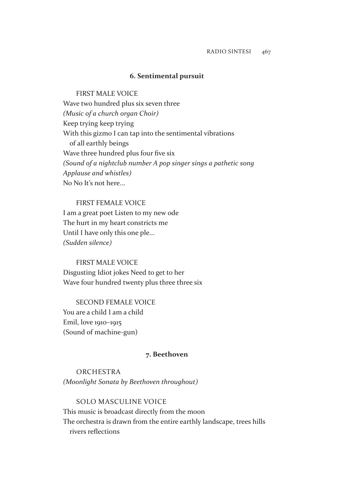#### **6. Sentimental pursuit**

FIRST MALE VOICE Wave two hundred plus six seven three *(Music of a church organ Choir)* Keep trying keep trying With this gizmo I can tap into the sentimental vibrations of all earthly beings Wave three hundred plus four five six *(Sound of a nightclub number A pop singer sings a pathetic song Applause and whistles)* No No It's not here...

#### FIRST FEMALE VOICE

I am a great poet Listen to my new ode The hurt in my heart constricts me Until I have only this one ple... *(Sudden silence)*

FIRST MALE VOICE Disgusting Idiot jokes Need to get to her Wave four hundred twenty plus three three six

SECOND FEMALE VOICE You are a child I am a child Emil, love 1910–1915 (Sound of machine-gun)

### **7. Beethoven**

**ORCHESTRA** *(Moonlight Sonata by Beethoven throughout)*

SOLO MASCULINE VOICE This music is broadcast directly from the moon The orchestra is drawn from the entire earthly landscape, trees hills rivers refections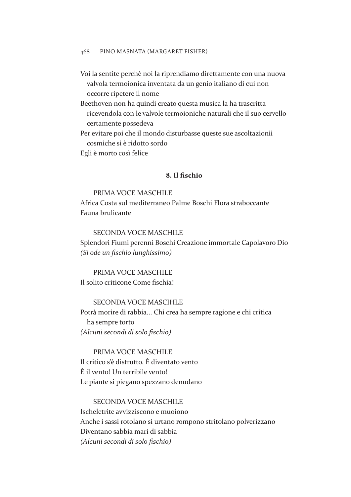#### 468 PINO MASNATA (MARGARET FISHER)

- Voi la sentite perchè noi la riprendiamo direttamente con una nuova valvola termoionica inventata da un genio italiano di cui non occorre ripetere il nome
- Beethoven non ha quindi creato questa musica la ha trascritta ricevendola con le valvole termoioniche naturali che il suo cervello certamente possedeva
- Per evitare poi che il mondo disturbasse queste sue ascoltazionii cosmiche si è ridotto sordo

Egli è morto così felice

## **8. Il fschio**

## PRIMA VOCE MASCHILE

Africa Costa sul mediterraneo Palme Boschi Flora straboccante Fauna brulicante

#### SECONDA VOCE MASCHILE

Splendori Fiumi perenni Boschi Creazione immortale Capolavoro Dio *(Si ode un fschio lunghissimo)*

PRIMA VOCE MASCHILE Il solito criticone Come fschia!

# SECONDA VOCE MASCIHLE

Potrà morire di rabbia... Chi crea ha sempre ragione e chi critica ha sempre torto *(Alcuni secondi di solo fschio)*

# PRIMA VOCE MASCHILE

Il critico s'è distrutto. È diventato vento È il vento! Un terribile vento! Le piante si piegano spezzano denudano

# SECONDA VOCE MASCHILE Ischeletrite avvizziscono e muoiono Anche i sassi rotolano si urtano rompono stritolano polverizzano Diventano sabbia mari di sabbia *(Alcuni secondi di solo fschio)*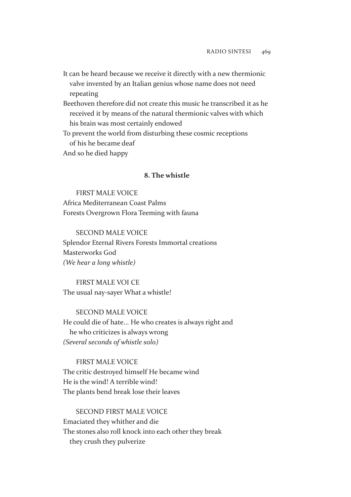- It can be heard because we receive it directly with a new thermionic valve invented by an Italian genius whose name does not need repeating
- Beethoven therefore did not create this music he transcribed it as he received it by means of the natural thermionic valves with which his brain was most certainly endowed
- To prevent the world from disturbing these cosmic receptions of his he became deaf
- And so he died happy

# **8. The whistle**

### FIRST MALE VOICE

Africa Mediterranean Coast Palms Forests Overgrown Flora Teeming with fauna

# SECOND MALE VOICE Splendor Eternal Rivers Forests Immortal creations Masterworks God *(We hear a long whistle)*

# FIRST MALE VOI CE The usual nay-sayer What a whistle!

# SECOND MALE VOICE He could die of hate... He who creates is always right and he who criticizes is always wrong *(Several seconds of whistle solo)*

#### FIRST MALE VOICE

The critic destroyed himself He became wind He is the wind! A terrible wind! The plants bend break lose their leaves

# SECOND FIRST MALE VOICE Emaciated they whither and die The stones also roll knock into each other they break they crush they pulverize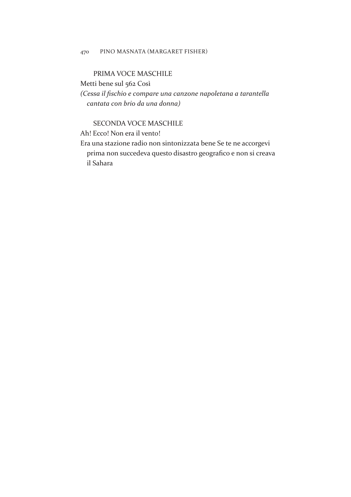## PRIMA VOCE MASCHILE

Metti bene sul 562 Così

*(Cessa il fschio e compare una canzone napoletana a tarantella cantata con brio da una donna)*

# SECONDA VOCE MASCHILE

Ah! Ecco! Non era il vento!

Era una stazione radio non sintonizzata bene Se te ne accorgevi prima non succedeva questo disastro geografco e non si creava il Sahara